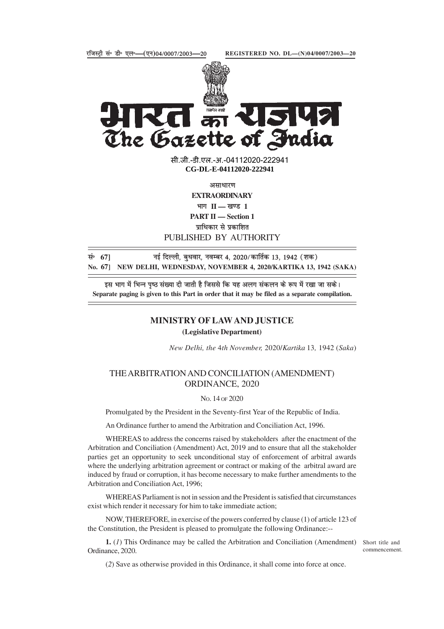

**Randa Rand** K The Gazette of India

> **xxxGIDHxxx** सी.जी.-डी.एल.-अ.-04112020-222941 **xxxGIDExxx CG-DL-E-04112020-222941**

असाधारण **EXTRAORDINARY** भाग **II — खण्ड** 1 **PART II — Section 1** प्राधिकार से प्रकाशित PUBLISHED BY AUTHORITY

lañ **67]** ubZ fnYyh] cq/kokj] uoEcj 4] 2020@dkfrZd 13] 1942 ¼'kd½ **No. 67] NEW DELHI, WEDNESDAY, NOVEMBER 4, 2020/KARTIKA 13, 1942 (SAKA)**

इस भाग में भिन्न पष्ठ संख्या दी जाती है जिससे कि यह अलग संकलन के रूप में रखा जा सके। **Separate paging is given to this Part in order that it may be filed as a separate compilation.**

## **MINISTRY OF LAW AND JUSTICE (Legislative Department)**

*New Delhi, the* 4*th November,* 2020/*Kartika* 13*,* 1942 (*Saka*)

## THE ARBITRATION AND CONCILIATION (AMENDMENT) ORDINANCE, 2020

## NO. 14 OF 2020

Promulgated by the President in the Seventy-first Year of the Republic of India.

An Ordinance further to amend the Arbitration and Conciliation Act, 1996.

WHEREAS to address the concerns raised by stakeholders after the enactment of the Arbitration and Conciliation (Amendment) Act, 2019 and to ensure that all the stakeholder parties get an opportunity to seek unconditional stay of enforcement of arbitral awards where the underlying arbitration agreement or contract or making of the arbitral award are induced by fraud or corruption, it has become necessary to make further amendments to the Arbitration and Conciliation Act, 1996;

WHEREAS Parliament is not in session and the President is satisfied that circumstances exist which render it necessary for him to take immediate action;

NOW, THEREFORE, in exercise of the powers conferred by clause (1) of article 123 of the Constitution, the President is pleased to promulgate the following Ordinance:--

**1.** (1) This Ordinance may be called the Arbitration and Conciliation (Amendment) Short title and Ordinance, 2020.

commencement.

(*2*) Save as otherwise provided in this Ordinance, it shall come into force at once.